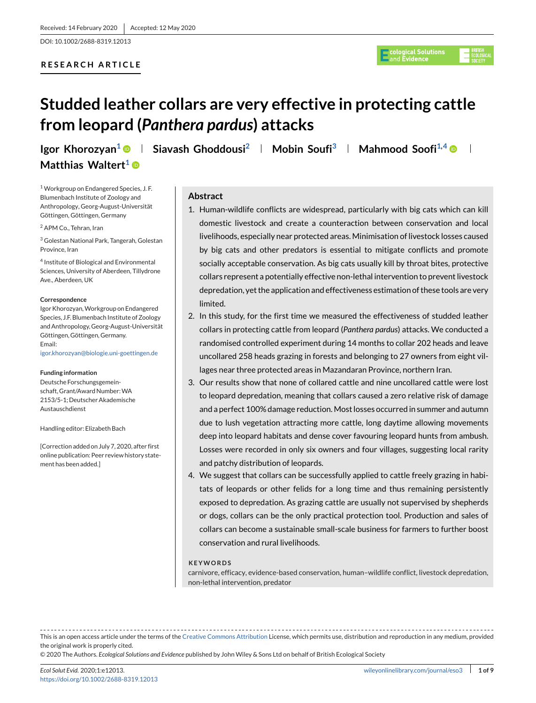<span id="page-0-0"></span>DOI: 10.1002/2688-8319.12013

# **RESEARCH ARTICLE**



# **Studded leather collars are very effective in protecting cattle from leopard (***Panthera pardus***) attacks**

**Igor Khorozyan<sup>1</sup> • Siavash Ghoddousi<sup>2</sup> | Mobin Soufi<sup>3</sup> | Mahmood Soofi<sup>1,4</sup> • Matthias Waltert<sup>1</sup><sup>®</sup>** 

<sup>1</sup> Workgroup on Endangered Species, J. F. Blumenbach Institute of Zoology and Anthropology, Georg-August-Universität Göttingen, Göttingen, Germany

<sup>2</sup> APM Co., Tehran, Iran

<sup>3</sup> Golestan National Park, Tangerah, Golestan Province, Iran

<sup>4</sup> Institute of Biological and Environmental Sciences, University of Aberdeen, Tillydrone Ave., Aberdeen, UK

#### **Correspondence**

Igor Khorozyan,Workgroup on Endangered Species, J.F. Blumenbach Institute of Zoology and Anthropology, Georg-August-Universität Göttingen, Göttingen, Germany. Email:

[igor.khorozyan@biologie.uni-goettingen.de](mailto:igor.khorozyan@biologie.uni-goettingen.de)

#### **Funding information**

Deutsche Forschungsgemeinschaft, Grant/Award Number:WA 2153/5-1; Deutscher Akademische Austauschdienst

#### Handling editor: Elizabeth Bach

[Correction added on July 7, 2020, after first online publication: Peer review history statement has been added.]

# **Abstract**

- 1. Human-wildlife conflicts are widespread, particularly with big cats which can kill domestic livestock and create a counteraction between conservation and local livelihoods, especially near protected areas. Minimisation of livestock losses caused by big cats and other predators is essential to mitigate conflicts and promote socially acceptable conservation. As big cats usually kill by throat bites, protective collars represent a potentially effective non-lethal intervention to prevent livestock depredation, yet the application and effectiveness estimation of these tools are very limited.
- 2. In this study, for the first time we measured the effectiveness of studded leather collars in protecting cattle from leopard (*Panthera pardus*) attacks. We conducted a randomised controlled experiment during 14 months to collar 202 heads and leave uncollared 258 heads grazing in forests and belonging to 27 owners from eight villages near three protected areas in Mazandaran Province, northern Iran.
- 3. Our results show that none of collared cattle and nine uncollared cattle were lost to leopard depredation, meaning that collars caused a zero relative risk of damage and a perfect 100% damage reduction. Most losses occurred in summer and autumn due to lush vegetation attracting more cattle, long daytime allowing movements deep into leopard habitats and dense cover favouring leopard hunts from ambush. Losses were recorded in only six owners and four villages, suggesting local rarity and patchy distribution of leopards.
- 4. We suggest that collars can be successfully applied to cattle freely grazing in habitats of leopards or other felids for a long time and thus remaining persistently exposed to depredation. As grazing cattle are usually not supervised by shepherds or dogs, collars can be the only practical protection tool. Production and sales of collars can become a sustainable small-scale business for farmers to further boost conservation and rural livelihoods.

#### **KEYWORDS**

carnivore, efficacy, evidence-based conservation, human–wildlife conflict, livestock depredation, non-lethal intervention, predator

This is an open access article under the terms of the [Creative Commons Attribution](http://creativecommons.org/licenses/by/4.0/) License, which permits use, distribution and reproduction in any medium, provided the original work is properly cited.

© 2020 The Authors. *Ecological Solutions and Evidence* published by John Wiley & Sons Ltd on behalf of British Ecological Society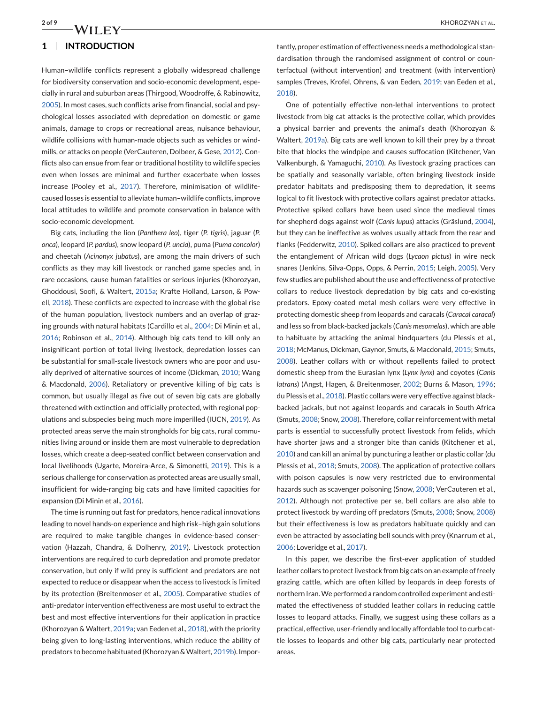# **1 INTRODUCTION**

Human–wildlife conflicts represent a globally widespread challenge for biodiversity conservation and socio-economic development, especially in rural and suburban areas (Thirgood, Woodroffe, & Rabinowitz, 2005). In most cases, such conflicts arise from financial, social and psychological losses associated with depredation on domestic or game animals, damage to crops or recreational areas, nuisance behaviour, wildlife collisions with human-made objects such as vehicles or windmills, or attacks on people (VerCauteren, Dolbeer, & Gese, 2012). Conflicts also can ensue from fear or traditional hostility to wildlife species even when losses are minimal and further exacerbate when losses increase (Pooley et al., 2017). Therefore, minimisation of wildlifecaused losses is essential to alleviate human–wildlife conflicts, improve local attitudes to wildlife and promote conservation in balance with socio-economic development.

Big cats, including the lion (*Panthera leo*), tiger (*P. tigris*), jaguar (*P. onca*), leopard (*P. pardus*), snow leopard (*P. uncia*), puma (*Puma concolor*) and cheetah (*Acinonyx jubatus*), are among the main drivers of such conflicts as they may kill livestock or ranched game species and, in rare occasions, cause human fatalities or serious injuries (Khorozyan, Ghoddousi, Soofi, & Waltert, 2015a; Krafte Holland, Larson, & Powell, 2018). These conflicts are expected to increase with the global rise of the human population, livestock numbers and an overlap of grazing grounds with natural habitats (Cardillo et al., 2004; Di Minin et al., 2016; Robinson et al., 2014). Although big cats tend to kill only an insignificant portion of total living livestock, depredation losses can be substantial for small-scale livestock owners who are poor and usually deprived of alternative sources of income (Dickman, 2010; Wang & Macdonald, 2006). Retaliatory or preventive killing of big cats is common, but usually illegal as five out of seven big cats are globally threatened with extinction and officially protected, with regional populations and subspecies being much more imperilled (IUCN, 2019). As protected areas serve the main strongholds for big cats, rural communities living around or inside them are most vulnerable to depredation losses, which create a deep-seated conflict between conservation and local livelihoods (Ugarte, Moreira-Arce, & Simonetti, 2019). This is a serious challenge for conservation as protected areas are usually small, insufficient for wide-ranging big cats and have limited capacities for expansion (Di Minin et al., 2016).

The time is running out fast for predators, hence radical innovations leading to novel hands-on experience and high risk–high gain solutions are required to make tangible changes in evidence-based conservation (Hazzah, Chandra, & Dolhenry, 2019). Livestock protection interventions are required to curb depredation and promote predator conservation, but only if wild prey is sufficient and predators are not expected to reduce or disappear when the access to livestock is limited by its protection (Breitenmoser et al., 2005). Comparative studies of anti-predator intervention effectiveness are most useful to extract the best and most effective interventions for their application in practice (Khorozyan & Waltert, 2019a; van Eeden et al., 2018), with the priority being given to long-lasting interventions, which reduce the ability of predators to become habituated (Khorozyan & Waltert, 2019b). Impor-

tantly, proper estimation of effectiveness needs a methodological standardisation through the randomised assignment of control or counterfactual (without intervention) and treatment (with intervention) samples (Treves, Krofel, Ohrens, & van Eeden, 2019; van Eeden et al., 2018).

One of potentially effective non-lethal interventions to protect livestock from big cat attacks is the protective collar, which provides a physical barrier and prevents the animal's death (Khorozyan & Waltert, 2019a). Big cats are well known to kill their prey by a throat bite that blocks the windpipe and causes suffocation (Kitchener, Van Valkenburgh, & Yamaguchi, 2010). As livestock grazing practices can be spatially and seasonally variable, often bringing livestock inside predator habitats and predisposing them to depredation, it seems logical to fit livestock with protective collars against predator attacks. Protective spiked collars have been used since the medieval times for shepherd dogs against wolf (*Canis lupus*) attacks (Gräslund, 2004), but they can be ineffective as wolves usually attack from the rear and flanks (Fedderwitz, 2010). Spiked collars are also practiced to prevent the entanglement of African wild dogs (*Lycaon pictus*) in wire neck snares (Jenkins, Silva-Opps, Opps, & Perrin, 2015; Leigh, 2005). Very few studies are published about the use and effectiveness of protective collars to reduce livestock depredation by big cats and co-existing predators. Epoxy-coated metal mesh collars were very effective in protecting domestic sheep from leopards and caracals (*Caracal caracal*) and less so from black-backed jackals (*Canis mesomelas*), which are able to habituate by attacking the animal hindquarters (du Plessis et al., 2018; McManus, Dickman, Gaynor, Smuts, & Macdonald, 2015; Smuts, 2008). Leather collars with or without repellents failed to protect domestic sheep from the Eurasian lynx (*Lynx lynx*) and coyotes (*Canis latrans*) (Angst, Hagen, & Breitenmoser, 2002; Burns & Mason, 1996; du Plessis et al., 2018). Plastic collars were very effective against blackbacked jackals, but not against leopards and caracals in South Africa (Smuts, 2008; Snow, 2008). Therefore, collar reinforcement with metal parts is essential to successfully protect livestock from felids, which have shorter jaws and a stronger bite than canids (Kitchener et al., 2010) and can kill an animal by puncturing a leather or plastic collar (du Plessis et al., 2018; Smuts, 2008). The application of protective collars with poison capsules is now very restricted due to environmental hazards such as scavenger poisoning (Snow, 2008; VerCauteren et al., 2012). Although not protective per se, bell collars are also able to protect livestock by warding off predators (Smuts, 2008; Snow, 2008) but their effectiveness is low as predators habituate quickly and can even be attracted by associating bell sounds with prey (Knarrum et al., 2006; Loveridge et al., 2017).

In this paper, we describe the first-ever application of studded leather collars to protect livestock from big cats on an example of freely grazing cattle, which are often killed by leopards in deep forests of northern Iran.We performed a random controlled experiment and estimated the effectiveness of studded leather collars in reducing cattle losses to leopard attacks. Finally, we suggest using these collars as a practical, effective, user-friendly and locally affordable tool to curb cattle losses to leopards and other big cats, particularly near protected areas.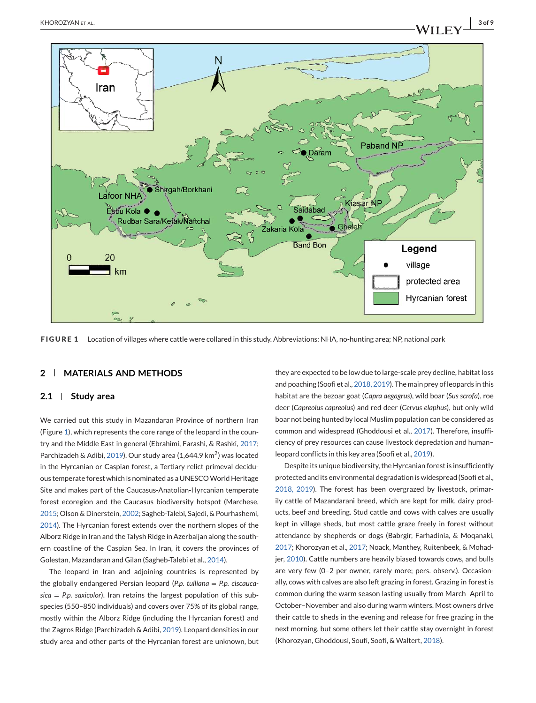<span id="page-2-0"></span>

**FIGURE 1** Location of villages where cattle were collared in this study. Abbreviations: NHA, no-hunting area; NP, national park

# **2 MATERIALS AND METHODS**

# **2.1 Study area**

We carried out this study in Mazandaran Province of northern Iran (Figure 1), which represents the core range of the leopard in the country and the Middle East in general (Ebrahimi, Farashi, & Rashki, 2017; Parchizadeh & Adibi, 2019). Our study area (1,644.9 km<sup>2</sup>) was located in the Hyrcanian or Caspian forest, a Tertiary relict primeval deciduous temperate forest which is nominated as a UNESCOWorld Heritage Site and makes part of the Caucasus-Anatolian-Hyrcanian temperate forest ecoregion and the Caucasus biodiversity hotspot (Marchese, 2015; Olson & Dinerstein, 2002; Sagheb-Talebi, Sajedi, & Pourhashemi, 2014). The Hyrcanian forest extends over the northern slopes of the Alborz Ridge in Iran and the Talysh Ridge in Azerbaijan along the southern coastline of the Caspian Sea. In Iran, it covers the provinces of Golestan, Mazandaran and Gilan (Sagheb-Talebi et al., 2014).

The leopard in Iran and adjoining countries is represented by the globally endangered Persian leopard (*P.p. tulliana* = *P.p. ciscaucasica* = *P.p. saxicolor*). Iran retains the largest population of this subspecies (550–850 individuals) and covers over 75% of its global range, mostly within the Alborz Ridge (including the Hyrcanian forest) and the Zagros Ridge (Parchizadeh & Adibi, 2019). Leopard densities in our study area and other parts of the Hyrcanian forest are unknown, but they are expected to be low due to large-scale prey decline, habitat loss and poaching (Soofi et al., 2018, 2019). The main prey of leopards in this habitat are the bezoar goat (*Capra aegagrus*), wild boar (*Sus scrofa*), roe deer (*Capreolus capreolus*) and red deer (*Cervus elaphus*), but only wild boar not being hunted by local Muslim population can be considered as common and widespread (Ghoddousi et al., 2017). Therefore, insufficiency of prey resources can cause livestock depredation and human– leopard conflicts in this key area (Soofi et al., 2019).

Despite its unique biodiversity, the Hyrcanian forest is insufficiently protected and its environmental degradation is widespread (Soofi et al., 2018, 2019). The forest has been overgrazed by livestock, primarily cattle of Mazandarani breed, which are kept for milk, dairy products, beef and breeding. Stud cattle and cows with calves are usually kept in village sheds, but most cattle graze freely in forest without attendance by shepherds or dogs (Babrgir, Farhadinia, & Moqanaki, 2017; Khorozyan et al., 2017; Noack, Manthey, Ruitenbeek, & Mohadjer, 2010). Cattle numbers are heavily biased towards cows, and bulls are very few (0–2 per owner, rarely more; pers. observ.). Occasionally, cows with calves are also left grazing in forest. Grazing in forest is common during the warm season lasting usually from March–April to October–November and also during warm winters. Most owners drive their cattle to sheds in the evening and release for free grazing in the next morning, but some others let their cattle stay overnight in forest (Khorozyan, Ghoddousi, Soufi, Soofi, & Waltert, 2018).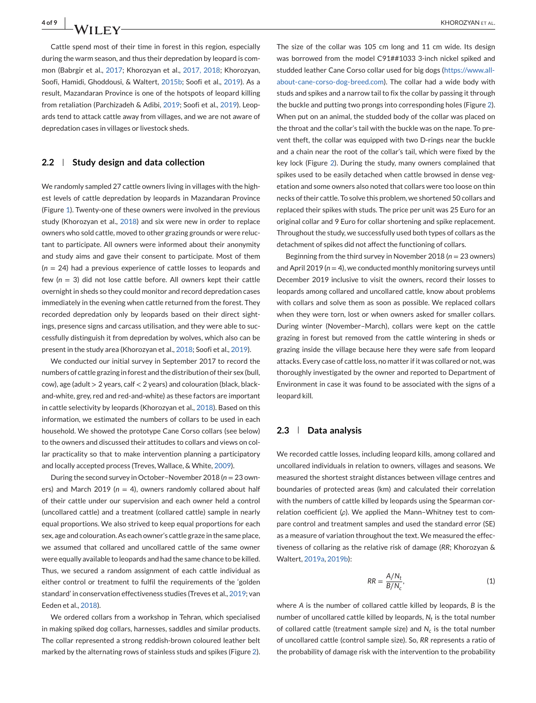<span id="page-3-0"></span>Cattle spend most of their time in forest in this region, especially during the warm season, and thus their depredation by leopard is common (Babrgir et al., 2017; Khorozyan et al., 2017, 2018; Khorozyan, Soofi, Hamidi, Ghoddousi, & Waltert, 2015b; Soofi et al., 2019). As a result, Mazandaran Province is one of the hotspots of leopard killing from retaliation (Parchizadeh & Adibi, 2019; Soofi et al., 2019). Leopards tend to attack cattle away from villages, and we are not aware of depredation cases in villages or livestock sheds.

## **2.2 Study design and data collection**

We randomly sampled 27 cattle owners living in villages with the highest levels of cattle depredation by leopards in Mazandaran Province (Figure [1\)](#page-2-0). Twenty-one of these owners were involved in the previous study (Khorozyan et al., 2018) and six were new in order to replace owners who sold cattle, moved to other grazing grounds or were reluctant to participate. All owners were informed about their anonymity and study aims and gave their consent to participate. Most of them (*n* = 24) had a previous experience of cattle losses to leopards and few (*n* = 3) did not lose cattle before. All owners kept their cattle overnight in sheds so they could monitor and record depredation cases immediately in the evening when cattle returned from the forest. They recorded depredation only by leopards based on their direct sightings, presence signs and carcass utilisation, and they were able to successfully distinguish it from depredation by wolves, which also can be present in the study area (Khorozyan et al., 2018; Soofi et al., 2019).

We conducted our initial survey in September 2017 to record the numbers of cattle grazing in forest and the distribution of their sex (bull, cow), age (adult > 2 years, calf < 2 years) and colouration (black, blackand-white, grey, red and red-and-white) as these factors are important in cattle selectivity by leopards (Khorozyan et al., 2018). Based on this information, we estimated the numbers of collars to be used in each household. We showed the prototype Cane Corso collars (see below) to the owners and discussed their attitudes to collars and views on collar practicality so that to make intervention planning a participatory and locally accepted process (Treves, Wallace, & White, 2009).

During the second survey in October–November 2018 (*n* = 23 owners) and March 2019 ( $n = 4$ ), owners randomly collared about half of their cattle under our supervision and each owner held a control (uncollared cattle) and a treatment (collared cattle) sample in nearly equal proportions. We also strived to keep equal proportions for each sex, age and colouration. As each owner's cattle graze in the same place, we assumed that collared and uncollared cattle of the same owner were equally available to leopards and had the same chance to be killed. Thus, we secured a random assignment of each cattle individual as either control or treatment to fulfil the requirements of the 'golden standard' in conservation effectiveness studies (Treves et al., 2019; van Eeden et al., 2018).

We ordered collars from a workshop in Tehran, which specialised in making spiked dog collars, harnesses, saddles and similar products. The collar represented a strong reddish-brown coloured leather belt marked by the alternating rows of stainless studs and spikes (Figure [2\)](#page-4-0).

The size of the collar was 105 cm long and 11 cm wide. Its design was borrowed from the model C91##1033 3-inch nickel spiked and studded leather Cane Corso collar used for big dogs [\(https://www.all](https://www.all-about-cane-corso-dog-breed.com)[about-cane-corso-dog-breed.com\)](https://www.all-about-cane-corso-dog-breed.com). The collar had a wide body with studs and spikes and a narrow tail to fix the collar by passing it through the buckle and putting two prongs into corresponding holes (Figure [2\)](#page-4-0). When put on an animal, the studded body of the collar was placed on the throat and the collar's tail with the buckle was on the nape. To prevent theft, the collar was equipped with two D-rings near the buckle and a chain near the root of the collar's tail, which were fixed by the key lock (Figure [2\)](#page-4-0). During the study, many owners complained that spikes used to be easily detached when cattle browsed in dense vegetation and some owners also noted that collars were too loose on thin necks of their cattle. To solve this problem, we shortened 50 collars and replaced their spikes with studs. The price per unit was 25 Euro for an original collar and 9 Euro for collar shortening and spike replacement. Throughout the study, we successfully used both types of collars as the detachment of spikes did not affect the functioning of collars.

Beginning from the third survey in November 2018 (*n* = 23 owners) and April 2019 (*n* = 4), we conducted monthly monitoring surveys until December 2019 inclusive to visit the owners, record their losses to leopards among collared and uncollared cattle, know about problems with collars and solve them as soon as possible. We replaced collars when they were torn, lost or when owners asked for smaller collars. During winter (November–March), collars were kept on the cattle grazing in forest but removed from the cattle wintering in sheds or grazing inside the village because here they were safe from leopard attacks. Every case of cattle loss, no matter if it was collared or not, was thoroughly investigated by the owner and reported to Department of Environment in case it was found to be associated with the signs of a leopard kill.

#### **2.3 Data analysis**

We recorded cattle losses, including leopard kills, among collared and uncollared individuals in relation to owners, villages and seasons. We measured the shortest straight distances between village centres and boundaries of protected areas (km) and calculated their correlation with the numbers of cattle killed by leopards using the Spearman correlation coefficient (*ρ*). We applied the Mann–Whitney test to compare control and treatment samples and used the standard error (SE) as a measure of variation throughout the text. We measured the effectiveness of collaring as the relative risk of damage (*RR*; Khorozyan & Waltert, 2019a, 2019b):

$$
RR = \frac{A/N_t}{B/N_c},\tag{1}
$$

where *A* is the number of collared cattle killed by leopards, *B* is the number of uncollared cattle killed by leopards,  $N_t$  is the total number of collared cattle (treatment sample size) and  $N_c$  is the total number of uncollared cattle (control sample size). So, *RR* represents a ratio of the probability of damage risk with the intervention to the probability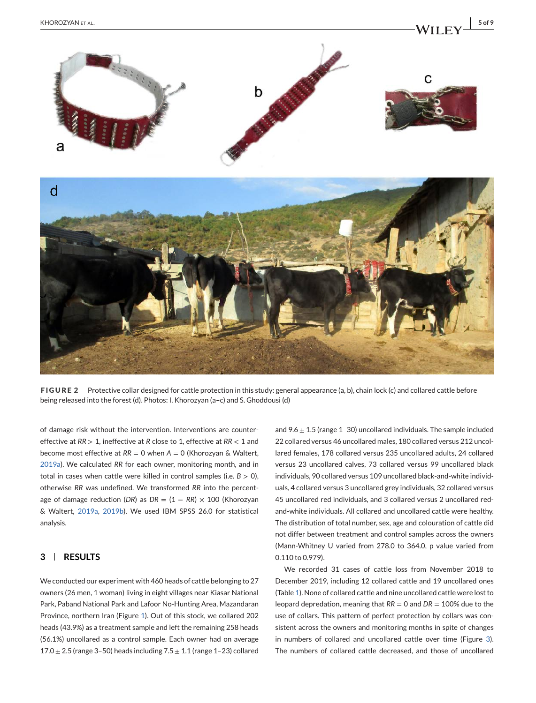<span id="page-4-0"></span>

**FIGURE 2** Protective collar designed for cattle protection in this study: general appearance (a, b), chain lock (c) and collared cattle before being released into the forest (d). Photos: I. Khorozyan (a–c) and S. Ghoddousi (d)

of damage risk without the intervention. Interventions are countereffective at *RR* > 1, ineffective at *R* close to 1, effective at *RR* < 1 and become most effective at *RR* = 0 when *A* = 0 (Khorozyan & Waltert, 2019a). We calculated *RR* for each owner, monitoring month, and in total in cases when cattle were killed in control samples (i.e.  $B > 0$ ), otherwise *RR* was undefined. We transformed *RR* into the percentage of damage reduction (*DR*) as  $DR = (1 - RR) \times 100$  (Khorozyan & Waltert, 2019a, 2019b). We used IBM SPSS 26.0 for statistical analysis.

# **3 RESULTS**

We conducted our experiment with 460 heads of cattle belonging to 27 owners (26 men, 1 woman) living in eight villages near Kiasar National Park, Paband National Park and Lafoor No-Hunting Area, Mazandaran Province, northern Iran (Figure [1\)](#page-2-0). Out of this stock, we collared 202 heads (43.9%) as a treatment sample and left the remaining 258 heads (56.1%) uncollared as a control sample. Each owner had on average 17.0  $\pm$  2.5 (range 3-50) heads including 7.5  $\pm$  1.1 (range 1-23) collared and 9.6  $\pm$  1.5 (range 1–30) uncollared individuals. The sample included 22 collared versus 46 uncollared males, 180 collared versus 212 uncollared females, 178 collared versus 235 uncollared adults, 24 collared versus 23 uncollared calves, 73 collared versus 99 uncollared black individuals, 90 collared versus 109 uncollared black-and-white individuals, 4 collared versus 3 uncollared grey individuals, 32 collared versus 45 uncollared red individuals, and 3 collared versus 2 uncollared redand-white individuals. All collared and uncollared cattle were healthy. The distribution of total number, sex, age and colouration of cattle did not differ between treatment and control samples across the owners (Mann-Whitney U varied from 278.0 to 364.0, p value varied from 0.110 to 0.979).

We recorded 31 cases of cattle loss from November 2018 to December 2019, including 12 collared cattle and 19 uncollared ones (Table [1\)](#page-5-0). None of collared cattle and nine uncollared cattle were lost to leopard depredation, meaning that *RR* = 0 and *DR* = 100% due to the use of collars. This pattern of perfect protection by collars was consistent across the owners and monitoring months in spite of changes in numbers of collared and uncollared cattle over time (Figure [3\)](#page-5-0). The numbers of collared cattle decreased, and those of uncollared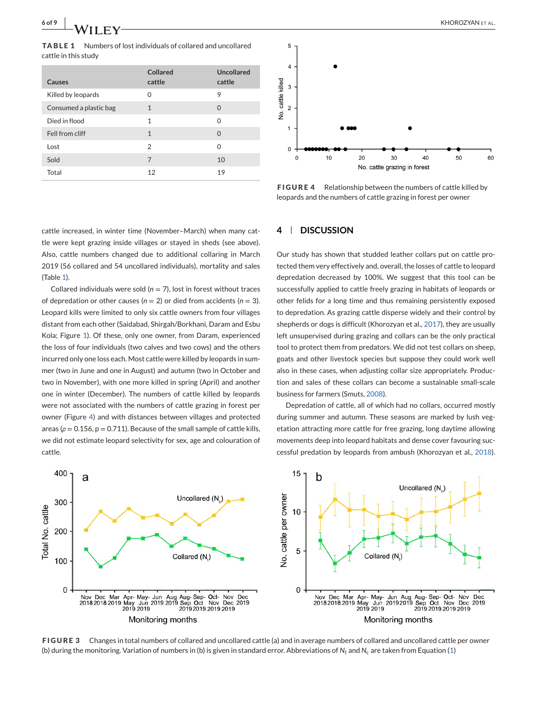<span id="page-5-0"></span>**TABLE 1** Numbers of lost individuals of collared and uncollared cattle in this study

| Causes                 | Collared<br>cattle | Uncollared<br>cattle |
|------------------------|--------------------|----------------------|
| Killed by leopards     | $\Omega$           | 9                    |
| Consumed a plastic bag | $\mathbf{1}$       | $\Omega$             |
| Died in flood          | 1                  | 0                    |
| Fell from cliff        | $\mathbf{1}$       | $\Omega$             |
| Lost                   | 2                  | 0                    |
| Sold                   | 7                  | 10                   |
| Total                  | 12                 | 19                   |



**FIGURE 4** Relationship between the numbers of cattle killed by leopards and the numbers of cattle grazing in forest per owner

# **4 DISCUSSION**

Our study has shown that studded leather collars put on cattle protected them very effectively and, overall, the losses of cattle to leopard depredation decreased by 100%. We suggest that this tool can be successfully applied to cattle freely grazing in habitats of leopards or other felids for a long time and thus remaining persistently exposed to depredation. As grazing cattle disperse widely and their control by shepherds or dogs is difficult (Khorozyan et al., 2017), they are usually left unsupervised during grazing and collars can be the only practical tool to protect them from predators. We did not test collars on sheep, goats and other livestock species but suppose they could work well also in these cases, when adjusting collar size appropriately. Production and sales of these collars can become a sustainable small-scale business for farmers (Smuts, 2008).

Depredation of cattle, all of which had no collars, occurred mostly during summer and autumn. These seasons are marked by lush vegetation attracting more cattle for free grazing, long daytime allowing movements deep into leopard habitats and dense cover favouring successful predation by leopards from ambush (Khorozyan et al., 2018).



**FIGURE 3** Changes in total numbers of collared and uncollared cattle (a) and in average numbers of collared and uncollared cattle per owner (b) during the monitoring. Variation of numbers in (b) is given in standard error. Abbreviations of *Nt* and *Nc* are taken from Equation [\(1\)](#page-3-0)

cattle increased, in winter time (November–March) when many cattle were kept grazing inside villages or stayed in sheds (see above). Also, cattle numbers changed due to additional collaring in March 2019 (56 collared and 54 uncollared individuals), mortality and sales (Table 1).

Collared individuals were sold ( $n = 7$ ), lost in forest without traces of depredation or other causes (*n* = 2) or died from accidents (*n* = 3). Leopard kills were limited to only six cattle owners from four villages distant from each other (Saidabad, Shirgah/Borkhani, Daram and Esbu Kola; Figure [1\)](#page-2-0). Of these, only one owner, from Daram, experienced the loss of four individuals (two calves and two cows) and the others incurred only one loss each. Most cattle were killed by leopards in summer (two in June and one in August) and autumn (two in October and two in November), with one more killed in spring (April) and another one in winter (December). The numbers of cattle killed by leopards were not associated with the numbers of cattle grazing in forest per owner (Figure 4) and with distances between villages and protected areas ( $\rho = 0.156$ ,  $p = 0.711$ ). Because of the small sample of cattle kills, we did not estimate leopard selectivity for sex, age and colouration of cattle.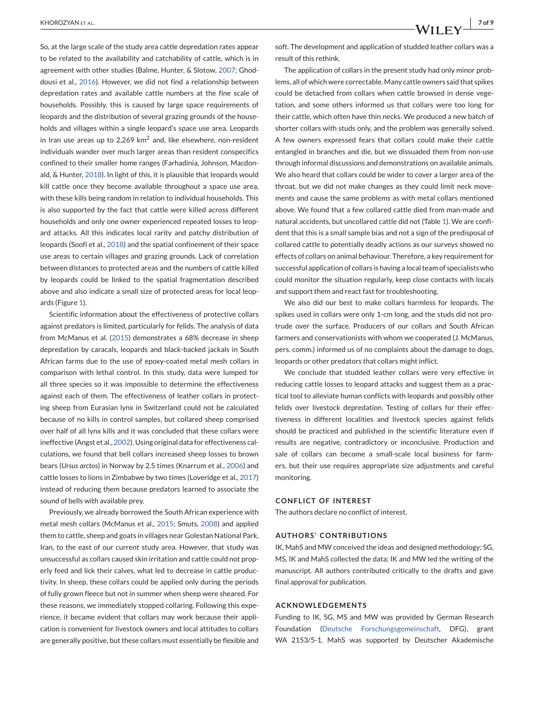So, at the large scale of the study area cattle depredation rates appear to be related to the availability and catchability of cattle, which is in agreement with other studies (Balme, Hunter, & Slotow, 2007; Ghoddousi et al., 2016). However, we did not find a relationship between depredation rates and available cattle numbers at the fine scale of households. Possibly, this is caused by large space requirements of leopards and the distribution of several grazing grounds of the households and villages within a single leopard's space use area. Leopards in Iran use areas up to 2,269  $km^2$  and, like elsewhere, non-resident individuals wander over much larger areas than resident conspecifics confined to their smaller home ranges (Farhadinia, Johnson, Macdonald, & Hunter, 2018). In light of this, it is plausible that leopards would kill cattle once they become available throughout a space use area, with these kills being random in relation to individual households. This is also supported by the fact that cattle were killed across different households and only one owner experienced repeated losses to leopard attacks. All this indicates local rarity and patchy distribution of leopards (Soofi et al., 2018) and the spatial confinement of their space use areas to certain villages and grazing grounds. Lack of correlation between distances to protected areas and the numbers of cattle killed by leopards could be linked to the spatial fragmentation described above and also indicate a small size of protected areas for local leopards (Figure [1\)](#page-2-0).

Scientific information about the effectiveness of protective collars against predators is limited, particularly for felids. The analysis of data from McManus et al. (2015) demonstrates a 68% decrease in sheep depredation by caracals, leopards and black-backed jackals in South African farms due to the use of epoxy-coated metal mesh collars in comparison with lethal control. In this study, data were lumped for all three species so it was impossible to determine the effectiveness against each of them. The effectiveness of leather collars in protecting sheep from Eurasian lynx in Switzerland could not be calculated because of no kills in control samples, but collared sheep comprised over half of all lynx kills and it was concluded that these collars were ineffective (Angst et al., 2002). Using original data for effectiveness calculations, we found that bell collars increased sheep losses to brown bears (*Ursus arctos*) in Norway by 2.5 times (Knarrum et al., 2006) and cattle losses to lions in Zimbabwe by two times (Loveridge et al., 2017) instead of reducing them because predators learned to associate the sound of bells with available prey.

Previously, we already borrowed the South African experience with metal mesh collars (McManus et al., 2015; Smuts, 2008) and applied them to cattle, sheep and goats in villages near Golestan National Park, Iran, to the east of our current study area. However, that study was unsuccessful as collars caused skin irritation and cattle could not properly feed and lick their calves, what led to decrease in cattle productivity. In sheep, these collars could be applied only during the periods of fully grown fleece but not in summer when sheep were sheared. For these reasons, we immediately stopped collaring. Following this experience, it became evident that collars may work because their application is convenient for livestock owners and local attitudes to collars are generally positive, but these collars must essentially be flexible and

The application of collars in the present study had only minor problems, all of which were correctable. Many cattle owners said that spikes could be detached from collars when cattle browsed in dense vegetation, and some others informed us that collars were too long for their cattle, which often have thin necks. We produced a new batch of shorter collars with studs only, and the problem was generally solved. A few owners expressed fears that collars could make their cattle entangled in branches and die, but we dissuaded them from non-use through informal discussions and demonstrations on available animals. We also heard that collars could be wider to cover a larger area of the throat, but we did not make changes as they could limit neck movements and cause the same problems as with metal collars mentioned above. We found that a few collared cattle died from man-made and natural accidents, but uncollared cattle did not (Table [1\)](#page-5-0). We are confident that this is a small sample bias and not a sign of the predisposal of collared cattle to potentially deadly actions as our surveys showed no effects of collars on animal behaviour. Therefore, a key requirement for successful application of collars is having a local team of specialists who could monitor the situation regularly, keep close contacts with locals and support them and react fast for troubleshooting.

We also did our best to make collars harmless for leopards. The spikes used in collars were only 1-cm long, and the studs did not protrude over the surface. Producers of our collars and South African farmers and conservationists with whom we cooperated (J. McManus, pers. comm.) informed us of no complaints about the damage to dogs, leopards or other predators that collars might inflict.

We conclude that studded leather collars were very effective in reducing cattle losses to leopard attacks and suggest them as a practical tool to alleviate human conflicts with leopards and possibly other felids over livestock depredation. Testing of collars for their effectiveness in different localities and livestock species against felids should be practiced and published in the scientific literature even if results are negative, contradictory or inconclusive. Production and sale of collars can become a small-scale local business for farmers, but their use requires appropriate size adjustments and careful monitoring.

#### **CONFLICT OF INTEREST**

The authors declare no conflict of interest.

# **AUTHORS' CONTRIBUTIONS**

IK, MahS and MW conceived the ideas and designed methodology; SG, MS, IK and MahS collected the data; IK and MW led the writing of the manuscript. All authors contributed critically to the drafts and gave final approval for publication.

#### **ACKNOWLEDGEMENTS**

Funding to IK, SG, MS and MW was provided by German Research Foundation [\(Deutsche Forschungsgemeinschaft,](#page-0-0) DFG), grant WA 2153/5-1. MahS was supported by Deutscher Akademische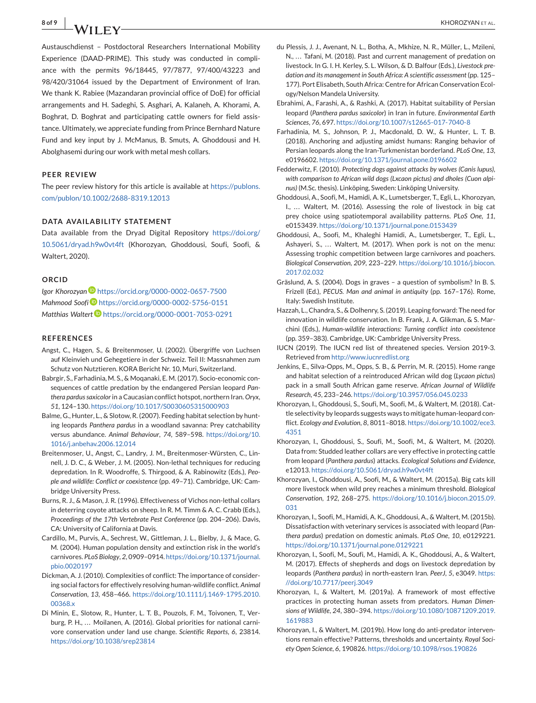**8 of 9 KHOROZYAN** ET AL.

Austauschdienst – Postdoctoral Researchers International Mobility Experience (DAAD-PRIME). This study was conducted in compliance with the permits 96/18445, 97/7877, 97/400/43223 and 98/420/31064 issued by the Department of Environment of Iran. We thank K. Rabiee (Mazandaran provincial office of DoE) for official arrangements and H. Sadeghi, S. Asghari, A. Kalaneh, A. Khorami, A. Boghrat, D. Boghrat and participating cattle owners for field assistance. Ultimately, we appreciate funding from Prince Bernhard Nature Fund and key input by J. McManus, B. Smuts, A. Ghoddousi and H. Abolghasemi during our work with metal mesh collars.

#### **PEER REVIEW**

The peer review history for this article is available at [https://publons.](https://publons.com/publon/10.1002/2688-8319.12013) [com/publon/10.1002/2688-8319.12013](https://publons.com/publon/10.1002/2688-8319.12013)

#### **DATA AVAILABILITY STATEMENT**

Data available from the Dryad Digital Repository [https://doi.org/](https://doi.org/10.5061/dryad.h9w0vt4ft) [10.5061/dryad.h9w0vt4ft](https://doi.org/10.5061/dryad.h9w0vt4ft) (Khorozyan, Ghoddousi, Soufi, Soofi, & Waltert, 2020).

## **ORCID**

**Igor Khorozyan <https://orcid.org/0000-0002-0657-7500>** *Mahmood Soofi* <https://orcid.org/0000-0002-5756-0151> *Matthias Walter[t](https://orcid.org/0000-0001-7053-0291)* <https://orcid.org/0000-0001-7053-0291>

#### **REFERENCES**

- Angst, C., Hagen, S., & Breitenmoser, U. (2002). Übergriffe von Luchsen auf Kleinvieh und Gehegetiere in der Schweiz. Teil II: Massnahmen zum Schutz von Nutztieren. KORA Bericht Nr. 10, Muri, Switzerland.
- Babrgir, S., Farhadinia, M. S., & Moqanaki, E. M. (2017). Socio-economic consequences of cattle predation by the endangered Persian leopard *Panthera pardus saxicolor*in a Caucasian conflict hotspot, northern Iran. *Oryx*, *51*, 124–130. <https://doi.org/10.1017/S0030605315000903>
- Balme, G., Hunter, L., & Slotow, R. (2007). Feeding habitat selection by hunting leopards *Panthera pardus* in a woodland savanna: Prey catchability versus abundance. *Animal Behaviour*, *74*, 589–598. [https://doi.org/10.](https://doi.org/10.1016/j.anbehav.2006.12.014) [1016/j.anbehav.2006.12.014](https://doi.org/10.1016/j.anbehav.2006.12.014)
- Breitenmoser, U., Angst, C., Landry, J. M., Breitenmoser-Würsten, C., Linnell, J. D. C., & Weber, J. M. (2005). Non-lethal techniques for reducing depredation. In R. Woodroffe, S. Thirgood, & A. Rabinowitz (Eds.), *People and wildlife: Conflict or coexistence* (pp. 49–71). Cambridge, UK: Cambridge University Press.
- Burns, R. J., & Mason, J. R. (1996). Effectiveness of Vichos non-lethal collars in deterring coyote attacks on sheep. In R. M. Timm & A. C. Crabb (Eds.), *Proceedings of the 17th Vertebrate Pest Conference* (pp. 204–206). Davis, CA: University of California at Davis.
- Cardillo, M., Purvis, A., Sechrest, W., Gittleman, J. L., Bielby, J., & Mace, G. M. (2004). Human population density and extinction risk in the world's carnivores. *PLoS Biology*, *2*, 0909–0914. [https://doi.org/10.1371/journal.](https://doi.org/10.1371/journal.pbio.0020197) [pbio.0020197](https://doi.org/10.1371/journal.pbio.0020197)
- Dickman, A. J. (2010). Complexities of conflict: The importance of considering social factors for effectively resolving human-wildlife conflict. *Animal Conservation*, *13*, 458–466. [https://doi.org/10.1111/j.1469-1795.2010.](https://doi.org/10.1111/j.1469-1795.2010.00368.x) [00368.x](https://doi.org/10.1111/j.1469-1795.2010.00368.x)
- Di Minin, E., Slotow, R., Hunter, L. T. B., Pouzols, F. M., Toivonen, T., Verburg, P. H., ... Moilanen, A. (2016). Global priorities for national carnivore conservation under land use change. *Scientific Reports*, *6*, 23814. <https://doi.org/10.1038/srep23814>
- du Plessis, J. J., Avenant, N. L., Botha, A., Mkhize, N. R., Müller, L., Mzileni, N., ... Tafani, M. (2018). Past and current management of predation on livestock. In G. I. H. Kerley, S. L. Wilson, & D. Balfour (Eds.), *Livestock predation and its management in South Africa: A scientific assessment* (pp. 125– 177). Port Elisabeth, South Africa: Centre for African Conservation Ecology/Nelson Mandela University.
- Ebrahimi, A., Farashi, A., & Rashki, A. (2017). Habitat suitability of Persian leopard (*Panthera pardus saxicolor*) in Iran in future. *Environmental Earth Sciences*, *76*, 697. <https://doi.org/10.1007/s12665-017-7040-8>
- Farhadinia, M. S., Johnson, P. J., Macdonald, D. W., & Hunter, L. T. B. (2018). Anchoring and adjusting amidst humans: Ranging behavior of Persian leopards along the Iran-Turkmenistan borderland. *PLoS One*, *13*, e0196602. <https://doi.org/10.1371/journal.pone.0196602>
- Fedderwitz, F. (2010). *Protecting dogs against attacks by wolves (Canis lupus), with comparison to African wild dogs (Lxcaon pictus) and dholes (Cuon alpinus)* (M.Sc. thesis). Linköping, Sweden: Linköping University.
- Ghoddousi, A., Soofi, M., Hamidi, A. K., Lumetsberger, T., Egli, L., Khorozyan, I., ... Waltert, M. (2016). Assessing the role of livestock in big cat prey choice using spatiotemporal availability patterns. *PLoS One*, *11*, e0153439. <https://doi.org/10.1371/journal.pone.0153439>
- Ghoddousi, A., Soofi, M., Khaleghi Hamidi, A., Lumetsberger, T., Egli, L., Ashayeri, S., ... Waltert, M. (2017). When pork is not on the menu: Assessing trophic competition between large carnivores and poachers. *Biological Conservation*, *209*, 223–229. [https://doi.org/10.1016/j.biocon.](https://doi.org/10.1016/j.biocon.2017.02.032) [2017.02.032](https://doi.org/10.1016/j.biocon.2017.02.032)
- Gräslund, A. S. (2004). Dogs in graves a question of symbolism? In B. S. Frizell (Ed.), *PECUS. Man and animal in antiquity* (pp. 167–176). Rome, Italy: Swedish Institute.
- Hazzah, L., Chandra, S., & Dolhenry, S. (2019). Leaping forward: The need for innovation in wildlife conservation. In B. Frank, J. A. Glikman, & S. Marchini (Eds.), *Human-wildlife interactions: Turning conflict into coexistence* (pp. 359–383). Cambridge, UK: Cambridge University Press.
- IUCN (2019). The IUCN red list of threatened species. Version 2019-3. Retrieved from <http://www.iucnredlist.org>
- Jenkins, E., Silva-Opps, M., Opps, S. B., & Perrin, M. R. (2015). Home range and habitat selection of a reintroduced African wild dog (*Lycaon pictus*) pack in a small South African game reserve. *African Journal of Wildlife Research*, *45*, 233–246. <https://doi.org/10.3957/056.045.0233>
- Khorozyan, I., Ghoddousi, S., Soufi, M., Soofi, M., & Waltert, M. (2018). Cattle selectivity by leopards suggests ways to mitigate human-leopard conflict. *Ecology and Evolution*, *8*, 8011–8018. [https://doi.org/10.1002/ece3.](https://doi.org/10.1002/ece3.4351) [4351](https://doi.org/10.1002/ece3.4351)
- Khorozyan, I., Ghoddousi, S., Soufi, M., Soofi, M., & Waltert, M. (2020). Data from: Studded leather collars are very effective in protecting cattle from leopard (*Panthera pardus*) attacks. *Ecological Solutions and Evidence*, e12013. <https://doi.org/10.5061/dryad.h9w0vt4ft>
- Khorozyan, I., Ghoddousi, A., Soofi, M., & Waltert, M. (2015a). Big cats kill more livestock when wild prey reaches a minimum threshold. *Biological Conservation*, *192*, 268–275. [https://doi.org/10.1016/j.biocon.2015.09.](https://doi.org/10.1016/j.biocon.2015.09.031) [031](https://doi.org/10.1016/j.biocon.2015.09.031)
- Khorozyan, I., Soofi, M., Hamidi, A. K., Ghoddousi, A., & Waltert, M. (2015b). Dissatisfaction with veterinary services is associated with leopard (*Panthera pardus*) predation on domestic animals. *PLoS One*, *10*, e0129221. <https://doi.org/10.1371/journal.pone.0129221>
- Khorozyan, I., Soofi, M., Soufi, M., Hamidi, A. K., Ghoddousi, A., & Waltert, M. (2017). Effects of shepherds and dogs on livestock depredation by leopards (*Panthera pardus*) in north-eastern Iran. *PeerJ*, *5*, e3049. [https:](https://doi.org/10.7717/peerj.3049) [//doi.org/10.7717/peerj.3049](https://doi.org/10.7717/peerj.3049)
- Khorozyan, I., & Waltert, M. (2019a). A framework of most effective practices in protecting human assets from predators. *Human Dimensions of Wildlife*, *24*, 380–394. [https://doi.org/10.1080/10871209.2019.](https://doi.org/10.1080/10871209.2019.1619883) [1619883](https://doi.org/10.1080/10871209.2019.1619883)
- Khorozyan, I., & Waltert, M. (2019b). How long do anti-predator interventions remain effective? Patterns, thresholds and uncertainty. *Royal Society Open Science*, *6*, 190826. <https://doi.org/10.1098/rsos.190826>